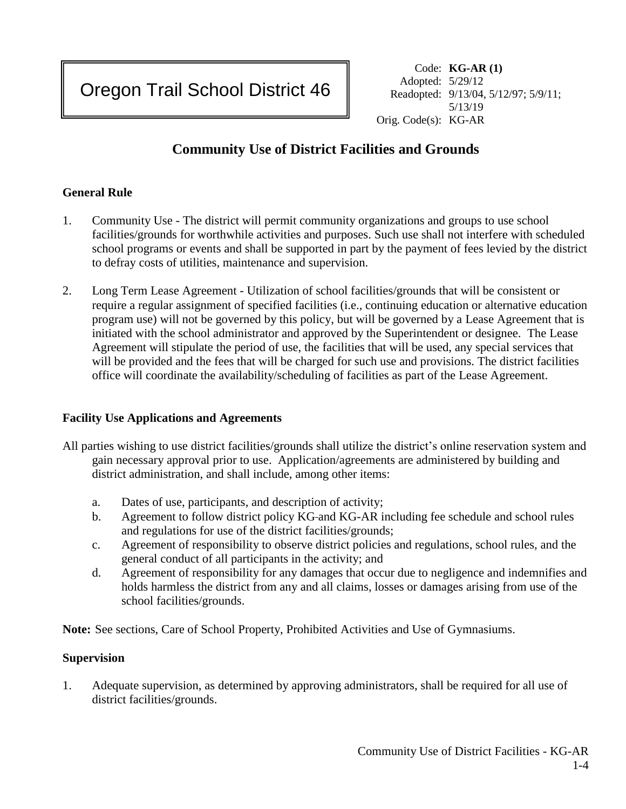Code: **KG-AR (1)** Adopted: 5/29/12 Readopted: 9/13/04, 5/12/97; 5/9/11; 5/13/19 Orig. Code(s): KG-AR

# **Community Use of District Facilities and Grounds**

# **General Rule**

- 1. Community Use The district will permit community organizations and groups to use school facilities/grounds for worthwhile activities and purposes. Such use shall not interfere with scheduled school programs or events and shall be supported in part by the payment of fees levied by the district to defray costs of utilities, maintenance and supervision.
- 2. Long Term Lease Agreement Utilization of school facilities/grounds that will be consistent or require a regular assignment of specified facilities (i.e., continuing education or alternative education program use) will not be governed by this policy, but will be governed by a Lease Agreement that is initiated with the school administrator and approved by the Superintendent or designee. The Lease Agreement will stipulate the period of use, the facilities that will be used, any special services that will be provided and the fees that will be charged for such use and provisions. The district facilities office will coordinate the availability/scheduling of facilities as part of the Lease Agreement.

## **Facility Use Applications and Agreements**

- All parties wishing to use district facilities/grounds shall utilize the district's online reservation system and gain necessary approval prior to use. Application/agreements are administered by building and district administration, and shall include, among other items:
	- a. Dates of use, participants, and description of activity;
	- b. Agreement to follow district policy KG and KG-AR including fee schedule and school rules and regulations for use of the district facilities/grounds;
	- c. Agreement of responsibility to observe district policies and regulations, school rules, and the general conduct of all participants in the activity; and
	- d. Agreement of responsibility for any damages that occur due to negligence and indemnifies and holds harmless the district from any and all claims, losses or damages arising from use of the school facilities/grounds.

**Note:** See sections, Care of School Property, Prohibited Activities and Use of Gymnasiums.

## **Supervision**

1. Adequate supervision, as determined by approving administrators, shall be required for all use of district facilities/grounds.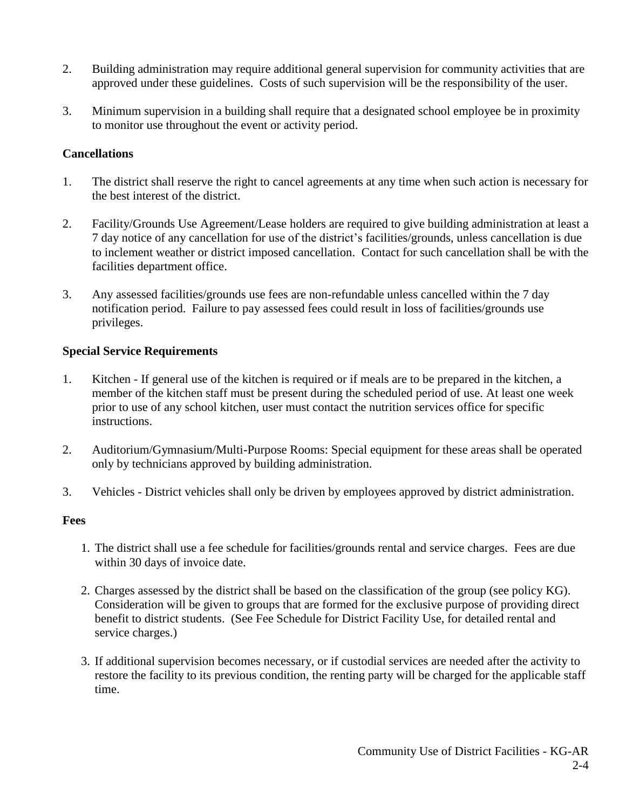- 2. Building administration may require additional general supervision for community activities that are approved under these guidelines. Costs of such supervision will be the responsibility of the user.
- 3. Minimum supervision in a building shall require that a designated school employee be in proximity to monitor use throughout the event or activity period.

## **Cancellations**

- 1. The district shall reserve the right to cancel agreements at any time when such action is necessary for the best interest of the district.
- 2. Facility/Grounds Use Agreement/Lease holders are required to give building administration at least a 7 day notice of any cancellation for use of the district's facilities/grounds, unless cancellation is due to inclement weather or district imposed cancellation. Contact for such cancellation shall be with the facilities department office.
- 3. Any assessed facilities/grounds use fees are non-refundable unless cancelled within the 7 day notification period. Failure to pay assessed fees could result in loss of facilities/grounds use privileges.

# **Special Service Requirements**

- 1. Kitchen If general use of the kitchen is required or if meals are to be prepared in the kitchen, a member of the kitchen staff must be present during the scheduled period of use. At least one week prior to use of any school kitchen, user must contact the nutrition services office for specific instructions.
- 2. Auditorium/Gymnasium/Multi-Purpose Rooms: Special equipment for these areas shall be operated only by technicians approved by building administration.
- 3. Vehicles District vehicles shall only be driven by employees approved by district administration.

## **Fees**

- 1. The district shall use a fee schedule for facilities/grounds rental and service charges. Fees are due within 30 days of invoice date.
- 2. Charges assessed by the district shall be based on the classification of the group (see policy KG). Consideration will be given to groups that are formed for the exclusive purpose of providing direct benefit to district students. (See Fee Schedule for District Facility Use, for detailed rental and service charges.)
- 3. If additional supervision becomes necessary, or if custodial services are needed after the activity to restore the facility to its previous condition, the renting party will be charged for the applicable staff time.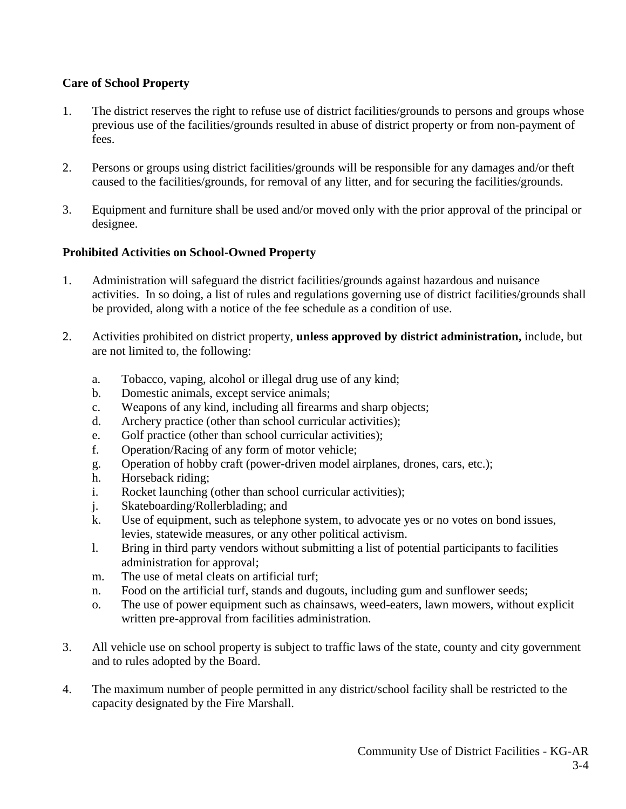# **Care of School Property**

- 1. The district reserves the right to refuse use of district facilities/grounds to persons and groups whose previous use of the facilities/grounds resulted in abuse of district property or from non-payment of fees.
- 2. Persons or groups using district facilities/grounds will be responsible for any damages and/or theft caused to the facilities/grounds, for removal of any litter, and for securing the facilities/grounds.
- 3. Equipment and furniture shall be used and/or moved only with the prior approval of the principal or designee.

# **Prohibited Activities on School-Owned Property**

- 1. Administration will safeguard the district facilities/grounds against hazardous and nuisance activities. In so doing, a list of rules and regulations governing use of district facilities/grounds shall be provided, along with a notice of the fee schedule as a condition of use.
- 2. Activities prohibited on district property, **unless approved by district administration,** include, but are not limited to, the following:
	- a. Tobacco, vaping, alcohol or illegal drug use of any kind;
	- b. Domestic animals, except service animals;
	- c. Weapons of any kind, including all firearms and sharp objects;
	- d. Archery practice (other than school curricular activities);
	- e. Golf practice (other than school curricular activities);
	- f. Operation/Racing of any form of motor vehicle;
	- g. Operation of hobby craft (power-driven model airplanes, drones, cars, etc.);
	- h. Horseback riding;
	- i. Rocket launching (other than school curricular activities);
	- j. Skateboarding/Rollerblading; and
	- k. Use of equipment, such as telephone system, to advocate yes or no votes on bond issues, levies, statewide measures, or any other political activism.
	- l. Bring in third party vendors without submitting a list of potential participants to facilities administration for approval;
	- m. The use of metal cleats on artificial turf;
	- n. Food on the artificial turf, stands and dugouts, including gum and sunflower seeds;
	- o. The use of power equipment such as chainsaws, weed-eaters, lawn mowers, without explicit written pre-approval from facilities administration.
- 3. All vehicle use on school property is subject to traffic laws of the state, county and city government and to rules adopted by the Board.
- 4. The maximum number of people permitted in any district/school facility shall be restricted to the capacity designated by the Fire Marshall.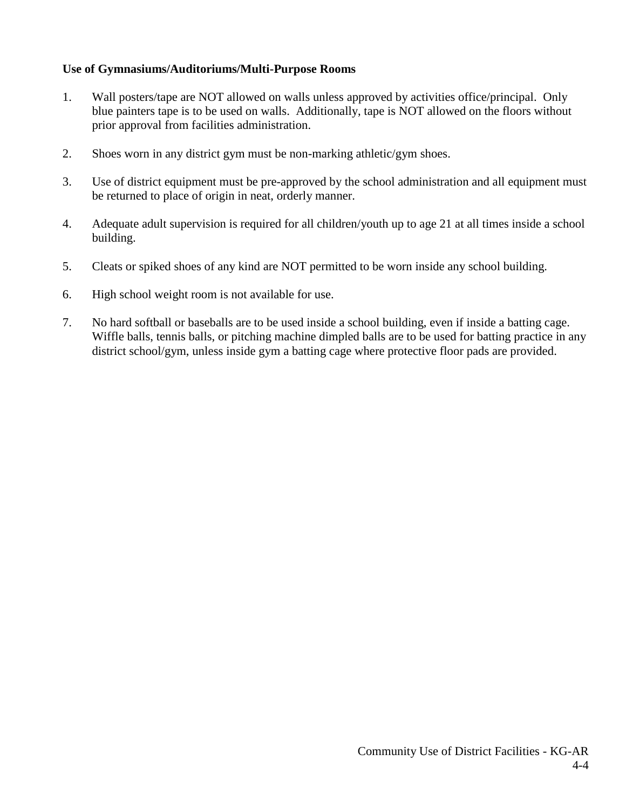# **Use of Gymnasiums/Auditoriums/Multi-Purpose Rooms**

- 1. Wall posters/tape are NOT allowed on walls unless approved by activities office/principal. Only blue painters tape is to be used on walls. Additionally, tape is NOT allowed on the floors without prior approval from facilities administration.
- 2. Shoes worn in any district gym must be non-marking athletic/gym shoes.
- 3. Use of district equipment must be pre-approved by the school administration and all equipment must be returned to place of origin in neat, orderly manner.
- 4. Adequate adult supervision is required for all children/youth up to age 21 at all times inside a school building.
- 5. Cleats or spiked shoes of any kind are NOT permitted to be worn inside any school building.
- 6. High school weight room is not available for use.
- 7. No hard softball or baseballs are to be used inside a school building, even if inside a batting cage. Wiffle balls, tennis balls, or pitching machine dimpled balls are to be used for batting practice in any district school/gym, unless inside gym a batting cage where protective floor pads are provided.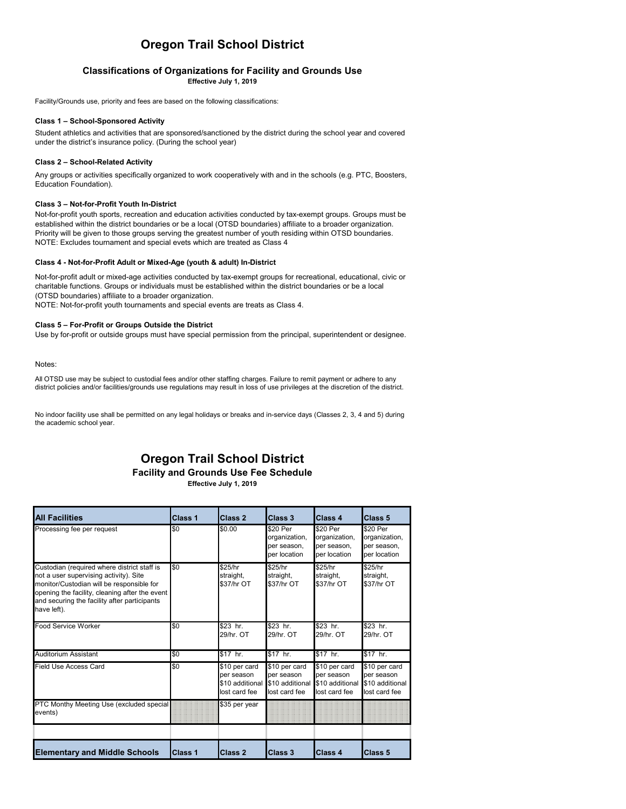# **Oregon Trail School District**

# **Classifications of Organizations for Facility and Grounds Use**

**Effective July 1, 2019**

Facility/Grounds use, priority and fees are based on the following classifications:

### **Class 1 – School-Sponsored Activity**

Student athletics and activities that are sponsored/sanctioned by the district during the school year and covered under the district's insurance policy. (During the school year)

### **Class 2 – School-Related Activity**

Any groups or activities specifically organized to work cooperatively with and in the schools (e.g. PTC, Boosters, Education Foundation).

### **Class 3 – Not-for-Profit Youth In-District**

Not-for-profit youth sports, recreation and education activities conducted by tax-exempt groups. Groups must be established within the district boundaries or be a local (OTSD boundaries) affiliate to a broader organization. Priority will be given to those groups serving the greatest number of youth residing within OTSD boundaries. NOTE: Excludes tournament and special evets which are treated as Class 4

### **Class 4 - Not-for-Profit Adult or Mixed-Age (youth & adult) In-District**

Not-for-profit adult or mixed-age activities conducted by tax-exempt groups for recreational, educational, civic or charitable functions. Groups or individuals must be established within the district boundaries or be a local (OTSD boundaries) affiliate to a broader organization. NOTE: Not-for-profit youth tournaments and special events are treats as Class 4.

### **Class 5 – For-Profit or Groups Outside the District**

Use by for-profit or outside groups must have special permission from the principal, superintendent or designee.

Notes:

All OTSD use may be subject to custodial fees and/or other staffing charges. Failure to remit payment or adhere to any district policies and/or facilities/grounds use regulations may result in loss of use privileges at the discretion of the district.

No indoor facility use shall be permitted on any legal holidays or breaks and in-service days (Classes 2, 3, 4 and 5) during the academic school year.

# **Oregon Trail School District**

**Facility and Grounds Use Fee Schedule**

**Effective July 1, 2019**

| <b>All Facilities</b>                                                                                                                                                                                                                               | Class <sub>1</sub> | Class 2                                                         | Class 3                                                         | Class 4                                                         | <b>Class 5</b>                                                  |
|-----------------------------------------------------------------------------------------------------------------------------------------------------------------------------------------------------------------------------------------------------|--------------------|-----------------------------------------------------------------|-----------------------------------------------------------------|-----------------------------------------------------------------|-----------------------------------------------------------------|
| Processing fee per request                                                                                                                                                                                                                          | \$0                | \$0.00                                                          | \$20 Per<br>organization,<br>per season,<br>per location        | \$20 Per<br>organization,<br>per season,<br>per location        | \$20 Per<br>organization,<br>per season,<br>per location        |
| Custodian (required where district staff is<br>not a user supervising activity). Site<br>monitor/Custodian will be responsible for<br>opening the facility, cleaning after the event<br>and securing the facility after participants<br>have left). | \$0                | \$25/hr<br>straight,<br>\$37/hr OT                              | \$25/hr<br>straight,<br>\$37/hr OT                              | \$25/hr<br>straight,<br>\$37/hr OT                              | \$25/hr<br>straight,<br>\$37/hr OT                              |
| Food Service Worker                                                                                                                                                                                                                                 | \$0                | \$23 hr.<br>29/hr. OT                                           | \$23 hr.<br>29/hr. OT                                           | \$23 hr.<br>29/hr. OT                                           | \$23 hr.<br>29/hr. OT                                           |
| Auditorium Assistant                                                                                                                                                                                                                                | \$0                | \$17 hr.                                                        | \$17 hr.                                                        | \$17 hr.                                                        | \$17 hr.                                                        |
| Field Use Access Card                                                                                                                                                                                                                               | \$0                | \$10 per card<br>per season<br>\$10 additional<br>lost card fee | \$10 per card<br>per season<br>\$10 additional<br>lost card fee | \$10 per card<br>per season<br>\$10 additional<br>lost card fee | \$10 per card<br>per season<br>\$10 additional<br>lost card fee |
| PTC Monthy Meeting Use (excluded special<br>events)                                                                                                                                                                                                 |                    | \$35 per year                                                   |                                                                 |                                                                 |                                                                 |
|                                                                                                                                                                                                                                                     |                    |                                                                 |                                                                 |                                                                 |                                                                 |
| <b>Elementary and Middle Schools</b>                                                                                                                                                                                                                | Class 1            | Class 2                                                         | Class 3                                                         | Class 4                                                         | Class 5                                                         |